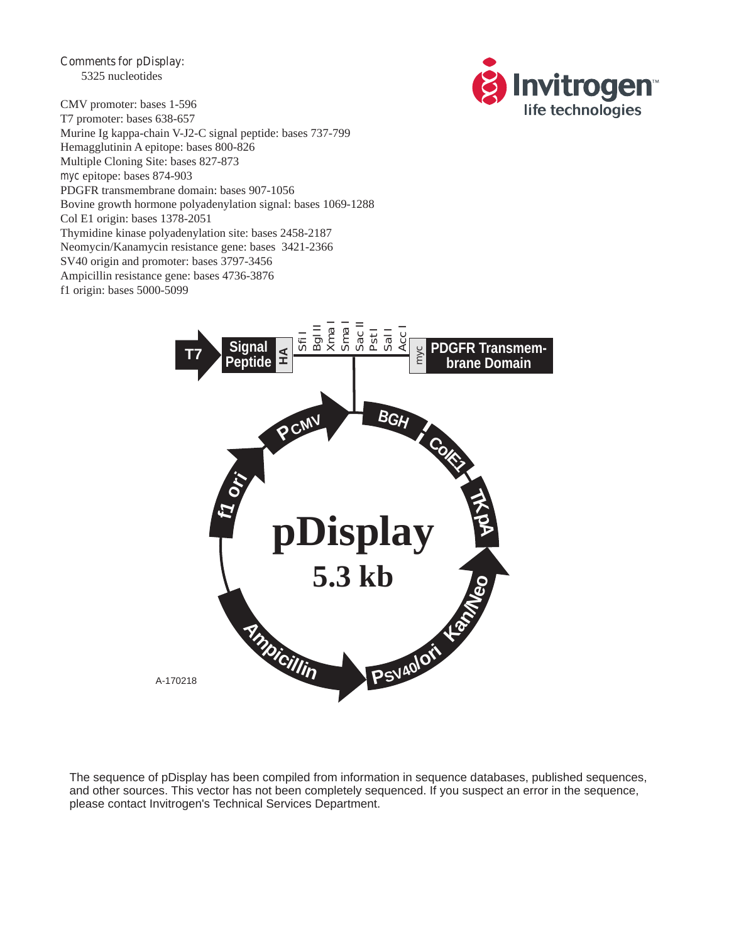**Comments for pDisplay:** 5325 nucleotides



CMV promoter: bases 1-596 T7 promoter: bases 638-657 Murine Ig kappa-chain V-J2-C signal peptide: bases 737-799 Hemagglutinin A epitope: bases 800-826 Multiple Cloning Site: bases 827-873 *myc* epitope: bases 874-903 PDGFR transmembrane domain: bases 907-1056 Bovine growth hormone polyadenylation signal: bases 1069-1288 Col E1 origin: bases 1378-2051 Thymidine kinase polyadenylation site: bases 2458-2187 Neomycin/Kanamycin resistance gene: bases 3421-2366 SV40 origin and promoter: bases 3797-3456 Ampicillin resistance gene: bases 4736-3876 f1 origin: bases 5000-5099



The sequence of pDisplay has been compiled from information in sequence databases, published sequences, and other sources. This vector has not been completely sequenced. If you suspect an error in the sequence, please contact Invitrogen's Technical Services Department.